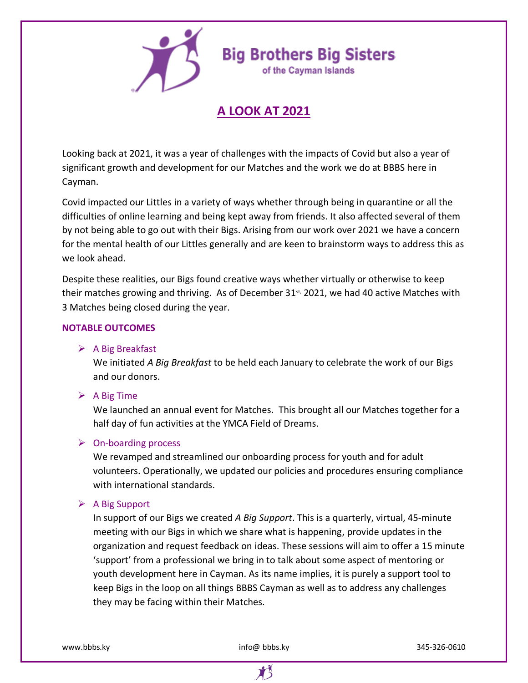



of the Cayman Islands

# **A LOOK AT 2021**

Looking back at 2021, it was a year of challenges with the impacts of Covid but also a year of significant growth and development for our Matches and the work we do at BBBS here in Cayman.

Covid impacted our Littles in a variety of ways whether through being in quarantine or all the difficulties of online learning and being kept away from friends. It also affected several of them by not being able to go out with their Bigs. Arising from our work over 2021 we have a concern for the mental health of our Littles generally and are keen to brainstorm ways to address this as we look ahead.

Despite these realities, our Bigs found creative ways whether virtually or otherwise to keep their matches growing and thriving. As of December  $31<sup>st</sup>$ , 2021, we had 40 active Matches with 3 Matches being closed during the year.

# **NOTABLE OUTCOMES**

## $\triangleright$  A Big Breakfast

We initiated *A Big Breakfast* to be held each January to celebrate the work of our Bigs and our donors.

# $\triangleright$  A Big Time

We launched an annual event for Matches. This brought all our Matches together for a half day of fun activities at the YMCA Field of Dreams.

# ➢ On-boarding process

We revamped and streamlined our onboarding process for youth and for adult volunteers. Operationally, we updated our policies and procedures ensuring compliance with international standards.

## ➢ A Big Support

In support of our Bigs we created *A Big Support*. This is a quarterly, virtual, 45-minute meeting with our Bigs in which we share what is happening, provide updates in the organization and request feedback on ideas. These sessions will aim to offer a 15 minute 'support' from a professional we bring in to talk about some aspect of mentoring or youth development here in Cayman. As its name implies, it is purely a support tool to keep Bigs in the loop on all things BBBS Cayman as well as to address any challenges they may be facing within their Matches.

www.bbbs.ky 345-326-0610

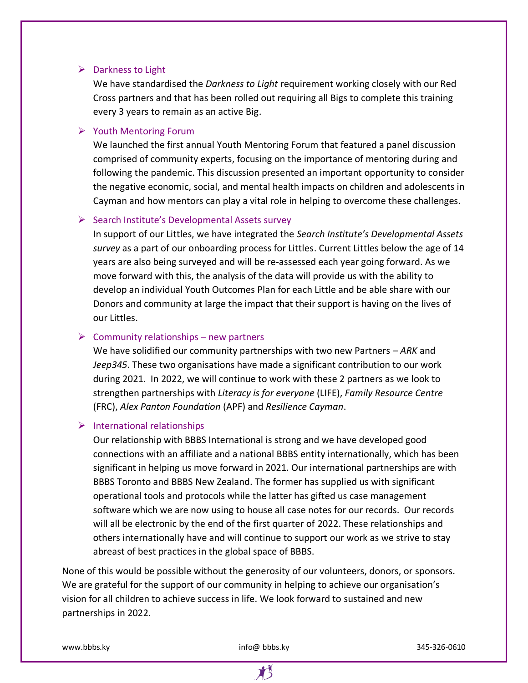#### ➢ Darkness to Light

We have standardised the *Darkness to Light* requirement working closely with our Red Cross partners and that has been rolled out requiring all Bigs to complete this training every 3 years to remain as an active Big.

#### ➢ Youth Mentoring Forum

We launched the first annual Youth Mentoring Forum that featured a panel discussion comprised of community experts, focusing on the importance of mentoring during and following the pandemic. This discussion presented an important opportunity to consider the negative economic, social, and mental health impacts on children and adolescents in Cayman and how mentors can play a vital role in helping to overcome these challenges.

## ➢ Search Institute's Developmental Assets survey

In support of our Littles, we have integrated the *Search Institute's Developmental Assets survey* as a part of our onboarding process for Littles. Current Littles below the age of 14 years are also being surveyed and will be re-assessed each year going forward. As we move forward with this, the analysis of the data will provide us with the ability to develop an individual Youth Outcomes Plan for each Little and be able share with our Donors and community at large the impact that their support is having on the lives of our Littles.

## $\triangleright$  Community relationships – new partners

We have solidified our community partnerships with two new Partners – *ARK* and *Jeep345*. These two organisations have made a significant contribution to our work during 2021. In 2022, we will continue to work with these 2 partners as we look to strengthen partnerships with *Literacy is for everyone* (LIFE), *Family Resource Centre* (FRC), *Alex Panton Foundation* (APF) and *Resilience Cayman*.

#### ➢ International relationships

Our relationship with BBBS International is strong and we have developed good connections with an affiliate and a national BBBS entity internationally, which has been significant in helping us move forward in 2021. Our international partnerships are with BBBS Toronto and BBBS New Zealand. The former has supplied us with significant operational tools and protocols while the latter has gifted us case management software which we are now using to house all case notes for our records. Our records will all be electronic by the end of the first quarter of 2022. These relationships and others internationally have and will continue to support our work as we strive to stay abreast of best practices in the global space of BBBS.

None of this would be possible without the generosity of our volunteers, donors, or sponsors. We are grateful for the support of our community in helping to achieve our organisation's vision for all children to achieve success in life. We look forward to sustained and new partnerships in 2022.

www.bbbs.ky 345-326-0610